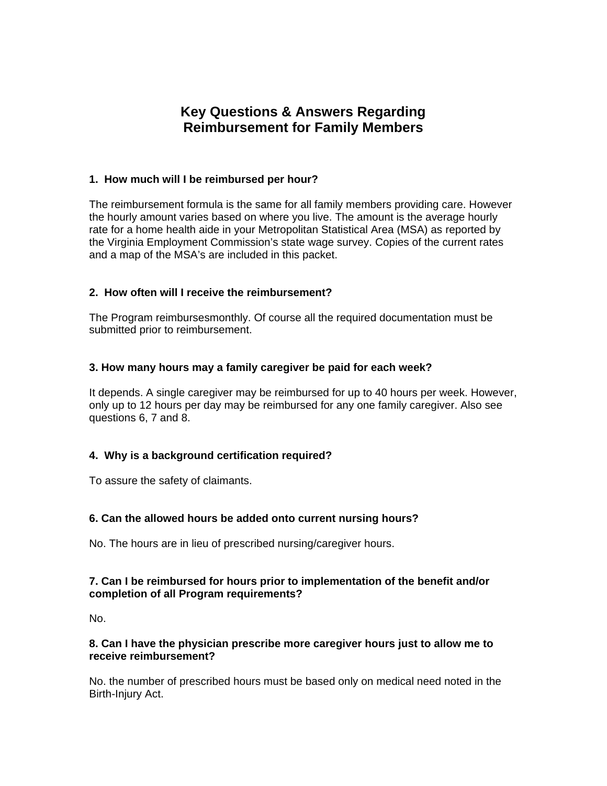# **Key Questions & Answers Regarding Reimbursement for Family Members**

# **1. How much will I be reimbursed per hour?**

The reimbursement formula is the same for all family members providing care. However the hourly amount varies based on where you live. The amount is the average hourly rate for a home health aide in your Metropolitan Statistical Area (MSA) as reported by the Virginia Employment Commission's state wage survey. Copies of the current rates and a map of the MSA's are included in this packet.

# **2. How often will I receive the reimbursement?**

The Program reimbursesmonthly. Of course all the required documentation must be submitted prior to reimbursement.

## **3. How many hours may a family caregiver be paid for each week?**

It depends. A single caregiver may be reimbursed for up to 40 hours per week. However, only up to 12 hours per day may be reimbursed for any one family caregiver. Also see questions 6, 7 and 8.

# **4. Why is a background certification required?**

To assure the safety of claimants.

#### **6. Can the allowed hours be added onto current nursing hours?**

No. The hours are in lieu of prescribed nursing/caregiver hours.

## **7. Can I be reimbursed for hours prior to implementation of the benefit and/or completion of all Program requirements?**

No.

## **8. Can I have the physician prescribe more caregiver hours just to allow me to receive reimbursement?**

No. the number of prescribed hours must be based only on medical need noted in the Birth-Injury Act.